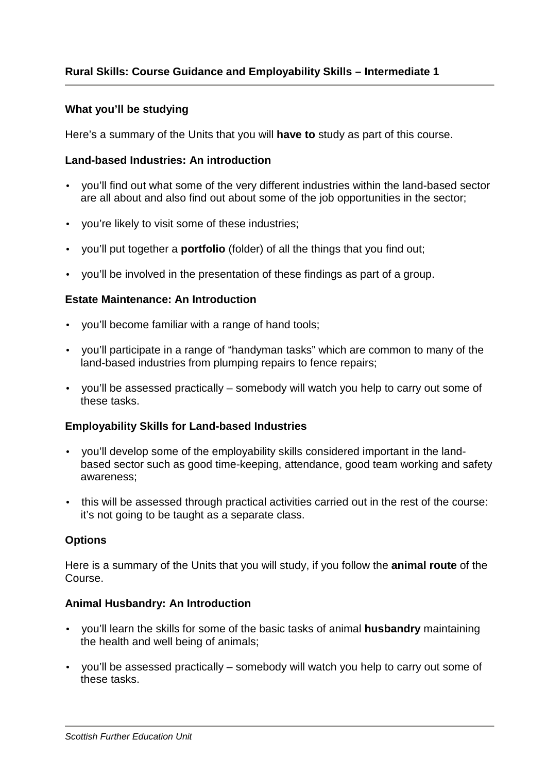## **What you'll be studying**

Here's a summary of the Units that you will **have to** study as part of this course.

## **Land-based Industries: An introduction**

- you'll find out what some of the very different industries within the land-based sector are all about and also find out about some of the job opportunities in the sector;
- you're likely to visit some of these industries;
- you'll put together a **portfolio** (folder) of all the things that you find out;
- you'll be involved in the presentation of these findings as part of a group.

## **Estate Maintenance: An Introduction**

- you'll become familiar with a range of hand tools;
- you'll participate in a range of "handyman tasks" which are common to many of the land-based industries from plumping repairs to fence repairs;
- you'll be assessed practically somebody will watch you help to carry out some of these tasks.

## **Employability Skills for Land-based Industries**

- you'll develop some of the employability skills considered important in the landbased sector such as good time-keeping, attendance, good team working and safety awareness;
- this will be assessed through practical activities carried out in the rest of the course: it's not going to be taught as a separate class.

## **Options**

Here is a summary of the Units that you will study, if you follow the **animal route** of the Course.

#### **Animal Husbandry: An Introduction**

- you'll learn the skills for some of the basic tasks of animal **husbandry** maintaining the health and well being of animals;
- you'll be assessed practically somebody will watch you help to carry out some of these tasks.